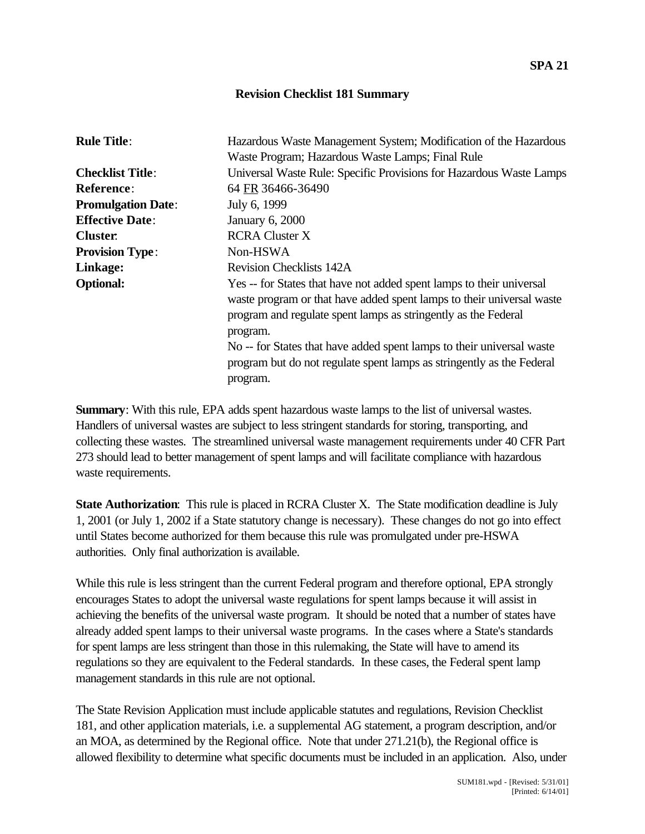## **Revision Checklist 181 Summary**

| <b>Rule Title:</b>        | Hazardous Waste Management System; Modification of the Hazardous<br>Waste Program; Hazardous Waste Lamps; Final Rule                                                                                                                                                                                                                                                                      |
|---------------------------|-------------------------------------------------------------------------------------------------------------------------------------------------------------------------------------------------------------------------------------------------------------------------------------------------------------------------------------------------------------------------------------------|
| <b>Checklist Title:</b>   | Universal Waste Rule: Specific Provisions for Hazardous Waste Lamps                                                                                                                                                                                                                                                                                                                       |
| <b>Reference:</b>         | 64 FR 36466-36490                                                                                                                                                                                                                                                                                                                                                                         |
| <b>Promulgation Date:</b> | July 6, 1999                                                                                                                                                                                                                                                                                                                                                                              |
| <b>Effective Date:</b>    | <b>January 6, 2000</b>                                                                                                                                                                                                                                                                                                                                                                    |
| <b>Cluster.</b>           | <b>RCRA Cluster X</b>                                                                                                                                                                                                                                                                                                                                                                     |
| <b>Provision Type:</b>    | Non-HSWA                                                                                                                                                                                                                                                                                                                                                                                  |
| Linkage:                  | <b>Revision Checklists 142A</b>                                                                                                                                                                                                                                                                                                                                                           |
| <b>Optional:</b>          | Yes -- for States that have not added spent lamps to their universal<br>waste program or that have added spent lamps to their universal waste<br>program and regulate spent lamps as stringently as the Federal<br>program.<br>No -- for States that have added spent lamps to their universal waste<br>program but do not regulate spent lamps as stringently as the Federal<br>program. |

**Summary**: With this rule, EPA adds spent hazardous waste lamps to the list of universal wastes. Handlers of universal wastes are subject to less stringent standards for storing, transporting, and collecting these wastes. The streamlined universal waste management requirements under 40 CFR Part 273 should lead to better management of spent lamps and will facilitate compliance with hazardous waste requirements.

**State Authorization**: This rule is placed in RCRA Cluster X. The State modification deadline is July 1, 2001 (or July 1, 2002 if a State statutory change is necessary). These changes do not go into effect until States become authorized for them because this rule was promulgated under pre-HSWA authorities. Only final authorization is available.

While this rule is less stringent than the current Federal program and therefore optional, EPA strongly encourages States to adopt the universal waste regulations for spent lamps because it will assist in achieving the benefits of the universal waste program. It should be noted that a number of states have already added spent lamps to their universal waste programs. In the cases where a State's standards for spent lamps are less stringent than those in this rulemaking, the State will have to amend its regulations so they are equivalent to the Federal standards. In these cases, the Federal spent lamp management standards in this rule are not optional.

The State Revision Application must include applicable statutes and regulations, Revision Checklist 181, and other application materials, i.e. a supplemental AG statement, a program description, and/or an MOA, as determined by the Regional office. Note that under 271.21(b), the Regional office is allowed flexibility to determine what specific documents must be included in an application. Also, under